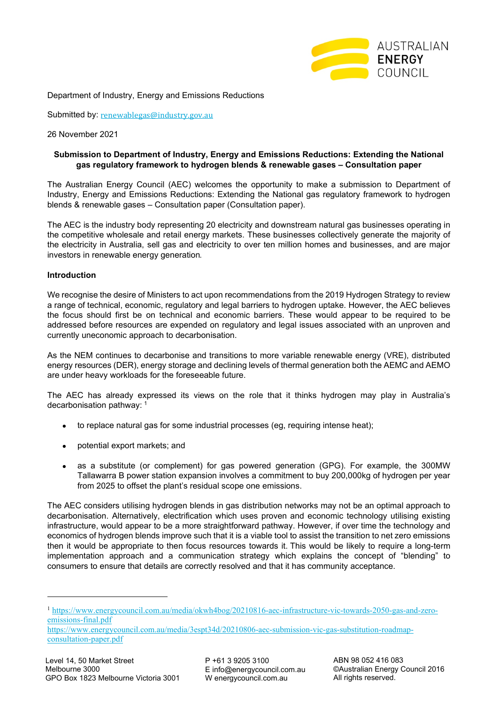

Department of Industry, Energy and Emissions Reductions

Submitted by: [renewablegas@industry.gov.au](https://energycouncilcomau-my.sharepoint.com/personal/peter_brook_energycouncil_com_au/Documents/Documents/Hydrogen/renewablegas@industry.gov.au)

26 November 2021

## **Submission to Department of Industry, Energy and Emissions Reductions: Extending the National gas regulatory framework to hydrogen blends & renewable gases – Consultation paper**

The Australian Energy Council (AEC) welcomes the opportunity to make a submission to Department of Industry, Energy and Emissions Reductions: Extending the National gas regulatory framework to hydrogen blends & renewable gases – Consultation paper (Consultation paper).

The AEC is the industry body representing 20 electricity and downstream natural gas businesses operating in the competitive wholesale and retail energy markets. These businesses collectively generate the majority of the electricity in Australia, sell gas and electricity to over ten million homes and businesses, and are major investors in renewable energy generation.

#### **Introduction**

We recognise the desire of Ministers to act upon recommendations from the 2019 Hydrogen Strategy to review a range of technical, economic, regulatory and legal barriers to hydrogen uptake. However, the AEC believes the focus should first be on technical and economic barriers. These would appear to be required to be addressed before resources are expended on regulatory and legal issues associated with an unproven and currently uneconomic approach to decarbonisation.

As the NEM continues to decarbonise and transitions to more variable renewable energy (VRE), distributed energy resources (DER), energy storage and declining levels of thermal generation both the AEMC and AEMO are under heavy workloads for the foreseeable future.

The AEC has already expressed its views on the role that it thinks hydrogen may play in Australia's decarbonisation pathway: [1](#page-0-0)

- to replace natural gas for some industrial processes (eg, requiring intense heat);
- potential export markets; and
- as a substitute (or complement) for gas powered generation (GPG). For example, the 300MW Tallawarra B power station expansion involves a commitment to buy 200,000kg of hydrogen per year from 2025 to offset the plant's residual scope one emissions.

The AEC considers utilising hydrogen blends in gas distribution networks may not be an optimal approach to decarbonisation. Alternatively, electrification which uses proven and economic technology utilising existing infrastructure, would appear to be a more straightforward pathway. However, if over time the technology and economics of hydrogen blends improve such that it is a viable tool to assist the transition to net zero emissions then it would be appropriate to then focus resources towards it. This would be likely to require a long-term implementation approach and a communication strategy which explains the concept of "blending" to consumers to ensure that details are correctly resolved and that it has community acceptance.

<span id="page-0-0"></span><sup>1</sup> [https://www.energycouncil.com.au/media/okwh4bog/20210816-aec-infrastructure-vic-towards-2050-gas-and-zero](https://www.energycouncil.com.au/media/okwh4bog/20210816-aec-infrastructure-vic-towards-2050-gas-and-zero-emissions-final.pdf)[emissions-final.pdf](https://www.energycouncil.com.au/media/okwh4bog/20210816-aec-infrastructure-vic-towards-2050-gas-and-zero-emissions-final.pdf)

[https://www.energycouncil.com.au/media/3espt34d/20210806-aec-submission-vic-gas-substitution-roadmap](https://www.energycouncil.com.au/media/3espt34d/20210806-aec-submission-vic-gas-substitution-roadmap-consultation-paper.pdf)[consultation-paper.pdf](https://www.energycouncil.com.au/media/3espt34d/20210806-aec-submission-vic-gas-substitution-roadmap-consultation-paper.pdf)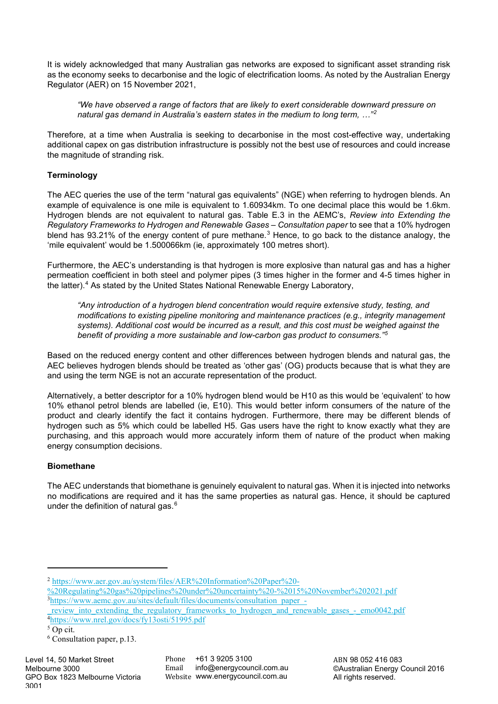It is widely acknowledged that many Australian gas networks are exposed to significant asset stranding risk as the economy seeks to decarbonise and the logic of electrification looms. As noted by the Australian Energy Regulator (AER) on 15 November 2021,

*"We have observed a range of factors that are likely to exert considerable downward pressure on natural gas demand in Australia's eastern states in the medium to long term, …"[2](#page-1-0)*

Therefore, at a time when Australia is seeking to decarbonise in the most cost-effective way, undertaking additional capex on gas distribution infrastructure is possibly not the best use of resources and could increase the magnitude of stranding risk.

# **Terminology**

The AEC queries the use of the term "natural gas equivalents" (NGE) when referring to hydrogen blends. An example of equivalence is one mile is equivalent to 1.60934km. To one decimal place this would be 1.6km. Hydrogen blends are not equivalent to natural gas. Table E.3 in the AEMC's, *Review into Extending the Regulatory Frameworks to Hydrogen and Renewable Gases – Consultation paper* to see that a 10% hydrogen blend has 9[3](#page-1-1).21% of the energy content of pure methane.<sup>3</sup> Hence, to go back to the distance analogy, the 'mile equivalent' would be 1.500066km (ie, approximately 100 metres short).

Furthermore, the AEC's understanding is that hydrogen is more explosive than natural gas and has a higher permeation coefficient in both steel and polymer pipes (3 times higher in the former and 4-5 times higher in the latter). [4](#page-1-2) As stated by the United States National Renewable Energy Laboratory,

*"Any introduction of a hydrogen blend concentration would require extensive study, testing, and modifications to existing pipeline monitoring and maintenance practices (e.g., integrity management systems). Additional cost would be incurred as a result, and this cost must be weighed against the benefit of providing a more sustainable and low-carbon gas product to consumers."[5](#page-1-3)*

Based on the reduced energy content and other differences between hydrogen blends and natural gas, the AEC believes hydrogen blends should be treated as 'other gas' (OG) products because that is what they are and using the term NGE is not an accurate representation of the product.

Alternatively, a better descriptor for a 10% hydrogen blend would be H10 as this would be 'equivalent' to how 10% ethanol petrol blends are labelled (ie, E10). This would better inform consumers of the nature of the product and clearly identify the fact it contains hydrogen. Furthermore, there may be different blends of hydrogen such as 5% which could be labelled H5. Gas users have the right to know exactly what they are purchasing, and this approach would more accurately inform them of nature of the product when making energy consumption decisions.

# **Biomethane**

The AEC understands that biomethane is genuinely equivalent to natural gas. When it is injected into networks no modifications are required and it has the same properties as natural gas. Hence, it should be captured under the definition of natural gas. $6$ 

<span id="page-1-0"></span><sup>2</sup> [https://www.aer.gov.au/system/files/AER%20Information%20Paper%20-](https://www.aer.gov.au/system/files/AER%20Information%20Paper%20-%20Regulating%20gas%20pipelines%20under%20uncertainty%20-%2015%20November%202021.pdf)

[<sup>%20</sup>Regulating%20gas%20pipelines%20under%20uncertainty%20-%2015%20November%202021.pdf](https://www.aer.gov.au/system/files/AER%20Information%20Paper%20-%20Regulating%20gas%20pipelines%20under%20uncertainty%20-%2015%20November%202021.pdf) <sup>3</sup>[https://www.aemc.gov.au/sites/default/files/documents/consultation\\_paper\\_-](https://www.aemc.gov.au/sites/default/files/documents/consultation_paper_-_review_into_extending_the_regulatory_frameworks_to_hydrogen_and_renewable_gases_-_emo0042.pdf)

<span id="page-1-1"></span>review into extending the regulatory frameworks to hydrogen and renewable gases - emo0042.pdf 4 <https://www.nrel.gov/docs/fy13osti/51995.pdf>

<span id="page-1-3"></span><span id="page-1-2"></span><sup>5</sup> Op cit.

<span id="page-1-4"></span><sup>6</sup> Consultation paper, p.13.